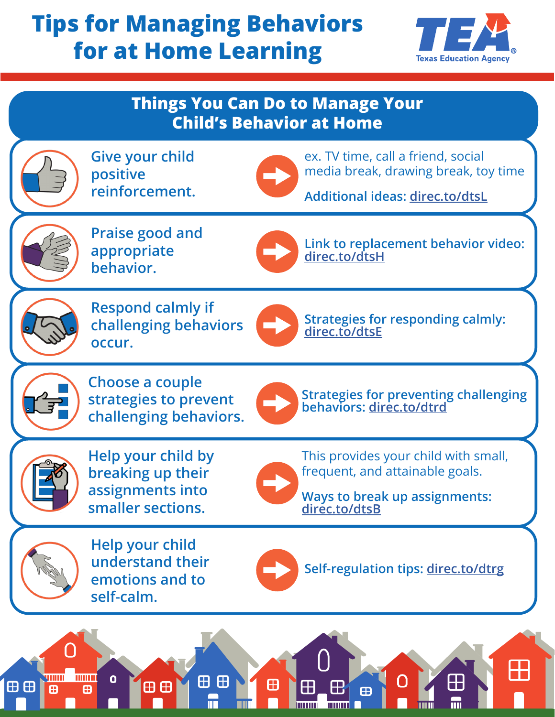## **Tips for Managing Behaviors for at Home Learning**